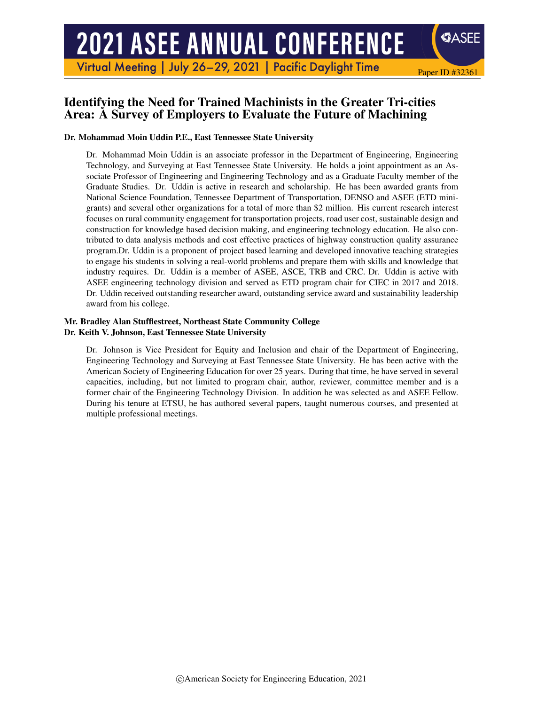# **2021 ASEE ANNUAL CONFERENCE**

Virtual Meeting | July 26-29, 2021 | Pacific Daylight Time

# Identifying the Need for Trained Machinists in the Greater Tri-cities Area: A Survey of Employers to Evaluate the Future of Machining

Paper ID #32361

SASEE

#### Dr. Mohammad Moin Uddin P.E., East Tennessee State University

Dr. Mohammad Moin Uddin is an associate professor in the Department of Engineering, Engineering Technology, and Surveying at East Tennessee State University. He holds a joint appointment as an Associate Professor of Engineering and Engineering Technology and as a Graduate Faculty member of the Graduate Studies. Dr. Uddin is active in research and scholarship. He has been awarded grants from National Science Foundation, Tennessee Department of Transportation, DENSO and ASEE (ETD minigrants) and several other organizations for a total of more than \$2 million. His current research interest focuses on rural community engagement for transportation projects, road user cost, sustainable design and construction for knowledge based decision making, and engineering technology education. He also contributed to data analysis methods and cost effective practices of highway construction quality assurance program.Dr. Uddin is a proponent of project based learning and developed innovative teaching strategies to engage his students in solving a real-world problems and prepare them with skills and knowledge that industry requires. Dr. Uddin is a member of ASEE, ASCE, TRB and CRC. Dr. Uddin is active with ASEE engineering technology division and served as ETD program chair for CIEC in 2017 and 2018. Dr. Uddin received outstanding researcher award, outstanding service award and sustainability leadership award from his college.

#### Mr. Bradley Alan Stufflestreet, Northeast State Community College Dr. Keith V. Johnson, East Tennessee State University

Dr. Johnson is Vice President for Equity and Inclusion and chair of the Department of Engineering, Engineering Technology and Surveying at East Tennessee State University. He has been active with the American Society of Engineering Education for over 25 years. During that time, he have served in several capacities, including, but not limited to program chair, author, reviewer, committee member and is a former chair of the Engineering Technology Division. In addition he was selected as and ASEE Fellow. During his tenure at ETSU, he has authored several papers, taught numerous courses, and presented at multiple professional meetings.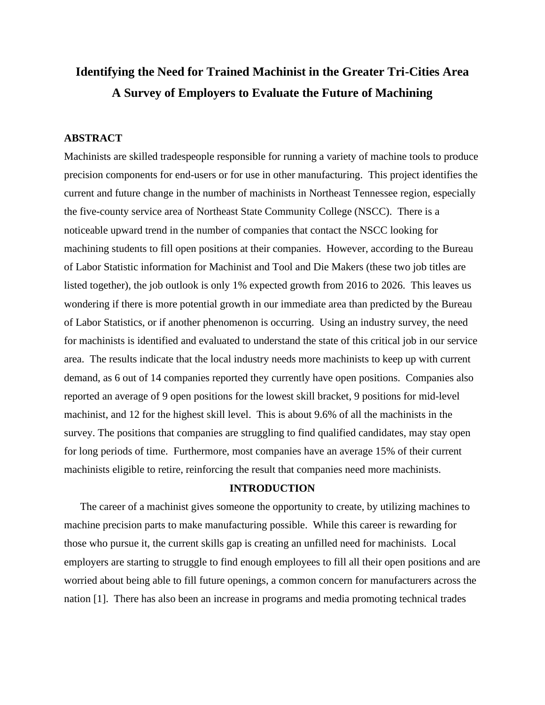# **Identifying the Need for Trained Machinist in the Greater Tri-Cities Area A Survey of Employers to Evaluate the Future of Machining**

# **ABSTRACT**

Machinists are skilled tradespeople responsible for running a variety of machine tools to produce precision components for end-users or for use in other manufacturing. This project identifies the current and future change in the number of machinists in Northeast Tennessee region, especially the five-county service area of Northeast State Community College (NSCC). There is a noticeable upward trend in the number of companies that contact the NSCC looking for machining students to fill open positions at their companies. However, according to the Bureau of Labor Statistic information for Machinist and Tool and Die Makers (these two job titles are listed together), the job outlook is only 1% expected growth from 2016 to 2026. This leaves us wondering if there is more potential growth in our immediate area than predicted by the Bureau of Labor Statistics, or if another phenomenon is occurring. Using an industry survey, the need for machinists is identified and evaluated to understand the state of this critical job in our service area. The results indicate that the local industry needs more machinists to keep up with current demand, as 6 out of 14 companies reported they currently have open positions. Companies also reported an average of 9 open positions for the lowest skill bracket, 9 positions for mid-level machinist, and 12 for the highest skill level. This is about 9.6% of all the machinists in the survey. The positions that companies are struggling to find qualified candidates, may stay open for long periods of time. Furthermore, most companies have an average 15% of their current machinists eligible to retire, reinforcing the result that companies need more machinists.

# **INTRODUCTION**

The career of a machinist gives someone the opportunity to create, by utilizing machines to machine precision parts to make manufacturing possible. While this career is rewarding for those who pursue it, the current skills gap is creating an unfilled need for machinists. Local employers are starting to struggle to find enough employees to fill all their open positions and are worried about being able to fill future openings, a common concern for manufacturers across the nation [1]. There has also been an increase in programs and media promoting technical trades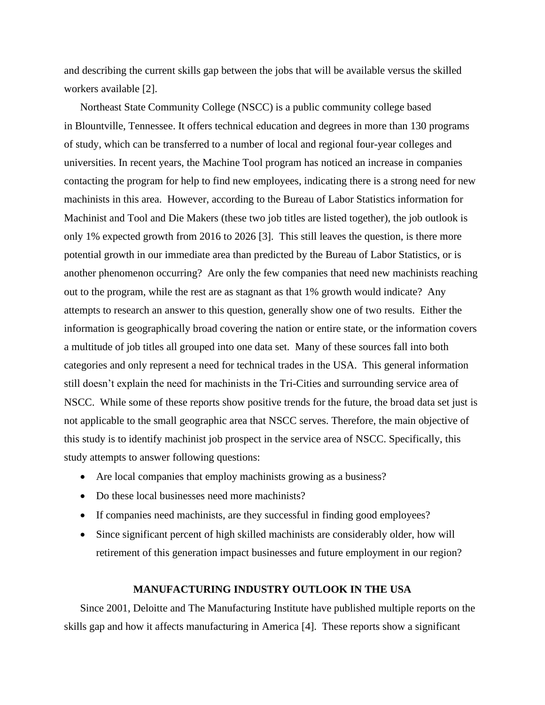and describing the current skills gap between the jobs that will be available versus the skilled workers available [2].

Northeast State Community College (NSCC) is a public community college based in Blountville, Tennessee. It offers technical education and degrees in more than 130 programs of study, which can be transferred to a number of local and regional four-year colleges and universities. In recent years, the Machine Tool program has noticed an increase in companies contacting the program for help to find new employees, indicating there is a strong need for new machinists in this area. However, according to the Bureau of Labor Statistics information for Machinist and Tool and Die Makers (these two job titles are listed together), the job outlook is only 1% expected growth from 2016 to 2026 [3]. This still leaves the question, is there more potential growth in our immediate area than predicted by the Bureau of Labor Statistics, or is another phenomenon occurring? Are only the few companies that need new machinists reaching out to the program, while the rest are as stagnant as that 1% growth would indicate? Any attempts to research an answer to this question, generally show one of two results. Either the information is geographically broad covering the nation or entire state, or the information covers a multitude of job titles all grouped into one data set. Many of these sources fall into both categories and only represent a need for technical trades in the USA. This general information still doesn't explain the need for machinists in the Tri-Cities and surrounding service area of NSCC. While some of these reports show positive trends for the future, the broad data set just is not applicable to the small geographic area that NSCC serves. Therefore, the main objective of this study is to identify machinist job prospect in the service area of NSCC. Specifically, this study attempts to answer following questions:

- Are local companies that employ machinists growing as a business?
- Do these local businesses need more machinists?
- If companies need machinists, are they successful in finding good employees?
- Since significant percent of high skilled machinists are considerably older, how will retirement of this generation impact businesses and future employment in our region?

# **MANUFACTURING INDUSTRY OUTLOOK IN THE USA**

Since 2001, Deloitte and The Manufacturing Institute have published multiple reports on the skills gap and how it affects manufacturing in America [4]. These reports show a significant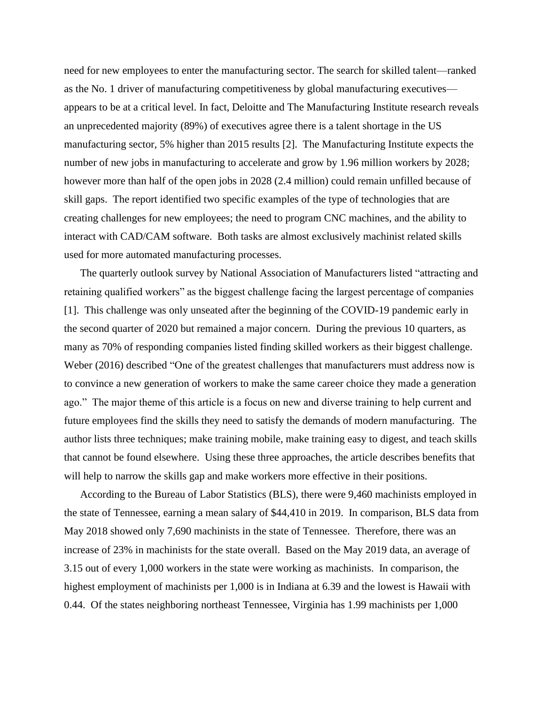need for new employees to enter the manufacturing sector. The search for skilled talent—ranked as the No. 1 driver of manufacturing competitiveness by global manufacturing executives appears to be at a critical level. In fact, Deloitte and The Manufacturing Institute research reveals an unprecedented majority (89%) of executives agree there is a talent shortage in the US manufacturing sector, 5% higher than 2015 results [2]. The Manufacturing Institute expects the number of new jobs in manufacturing to accelerate and grow by 1.96 million workers by 2028; however more than half of the open jobs in 2028 (2.4 million) could remain unfilled because of skill gaps. The report identified two specific examples of the type of technologies that are creating challenges for new employees; the need to program CNC machines, and the ability to interact with CAD/CAM software. Both tasks are almost exclusively machinist related skills used for more automated manufacturing processes.

The quarterly outlook survey by National Association of Manufacturers listed "attracting and retaining qualified workers" as the biggest challenge facing the largest percentage of companies [1]. This challenge was only unseated after the beginning of the COVID-19 pandemic early in the second quarter of 2020 but remained a major concern. During the previous 10 quarters, as many as 70% of responding companies listed finding skilled workers as their biggest challenge. Weber (2016) described "One of the greatest challenges that manufacturers must address now is to convince a new generation of workers to make the same career choice they made a generation ago." The major theme of this article is a focus on new and diverse training to help current and future employees find the skills they need to satisfy the demands of modern manufacturing. The author lists three techniques; make training mobile, make training easy to digest, and teach skills that cannot be found elsewhere. Using these three approaches, the article describes benefits that will help to narrow the skills gap and make workers more effective in their positions.

According to the Bureau of Labor Statistics (BLS), there were 9,460 machinists employed in the state of Tennessee, earning a mean salary of \$44,410 in 2019. In comparison, BLS data from May 2018 showed only 7,690 machinists in the state of Tennessee. Therefore, there was an increase of 23% in machinists for the state overall. Based on the May 2019 data, an average of 3.15 out of every 1,000 workers in the state were working as machinists. In comparison, the highest employment of machinists per 1,000 is in Indiana at 6.39 and the lowest is Hawaii with 0.44. Of the states neighboring northeast Tennessee, Virginia has 1.99 machinists per 1,000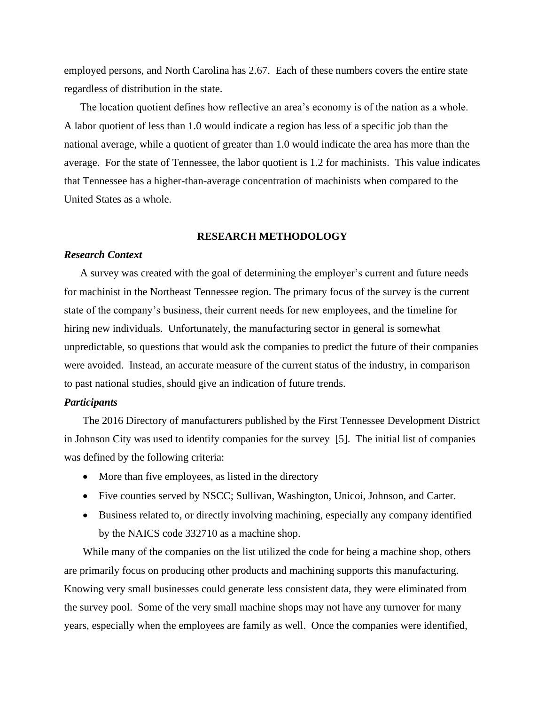employed persons, and North Carolina has 2.67. Each of these numbers covers the entire state regardless of distribution in the state.

The location quotient defines how reflective an area's economy is of the nation as a whole. A labor quotient of less than 1.0 would indicate a region has less of a specific job than the national average, while a quotient of greater than 1.0 would indicate the area has more than the average. For the state of Tennessee, the labor quotient is 1.2 for machinists. This value indicates that Tennessee has a higher-than-average concentration of machinists when compared to the United States as a whole.

#### **RESEARCH METHODOLOGY**

#### *Research Context*

A survey was created with the goal of determining the employer's current and future needs for machinist in the Northeast Tennessee region. The primary focus of the survey is the current state of the company's business, their current needs for new employees, and the timeline for hiring new individuals. Unfortunately, the manufacturing sector in general is somewhat unpredictable, so questions that would ask the companies to predict the future of their companies were avoided. Instead, an accurate measure of the current status of the industry, in comparison to past national studies, should give an indication of future trends.

### *Participants*

The 2016 Directory of manufacturers published by the First Tennessee Development District in Johnson City was used to identify companies for the survey [5]. The initial list of companies was defined by the following criteria:

- More than five employees, as listed in the directory
- Five counties served by NSCC; Sullivan, Washington, Unicoi, Johnson, and Carter.
- Business related to, or directly involving machining, especially any company identified by the NAICS code 332710 as a machine shop.

While many of the companies on the list utilized the code for being a machine shop, others are primarily focus on producing other products and machining supports this manufacturing. Knowing very small businesses could generate less consistent data, they were eliminated from the survey pool. Some of the very small machine shops may not have any turnover for many years, especially when the employees are family as well. Once the companies were identified,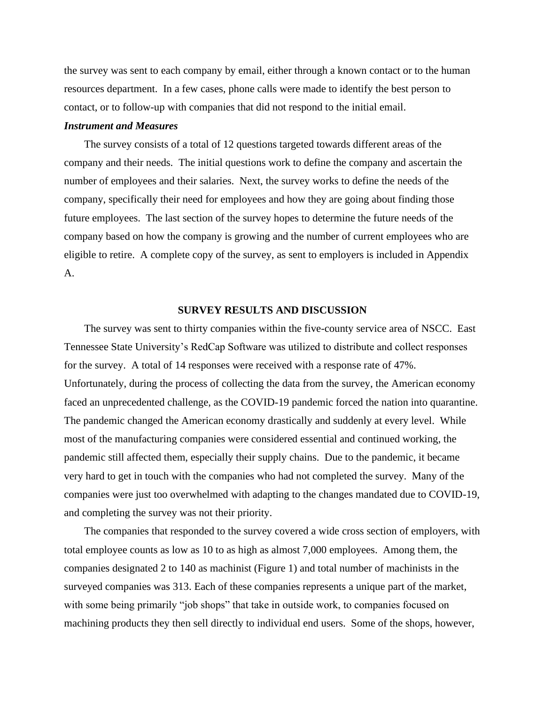the survey was sent to each company by email, either through a known contact or to the human resources department. In a few cases, phone calls were made to identify the best person to contact, or to follow-up with companies that did not respond to the initial email.

#### *Instrument and Measures*

The survey consists of a total of 12 questions targeted towards different areas of the company and their needs. The initial questions work to define the company and ascertain the number of employees and their salaries. Next, the survey works to define the needs of the company, specifically their need for employees and how they are going about finding those future employees. The last section of the survey hopes to determine the future needs of the company based on how the company is growing and the number of current employees who are eligible to retire. A complete copy of the survey, as sent to employers is included in Appendix A.

#### **SURVEY RESULTS AND DISCUSSION**

The survey was sent to thirty companies within the five-county service area of NSCC. East Tennessee State University's RedCap Software was utilized to distribute and collect responses for the survey. A total of 14 responses were received with a response rate of 47%. Unfortunately, during the process of collecting the data from the survey, the American economy faced an unprecedented challenge, as the COVID-19 pandemic forced the nation into quarantine. The pandemic changed the American economy drastically and suddenly at every level. While most of the manufacturing companies were considered essential and continued working, the pandemic still affected them, especially their supply chains. Due to the pandemic, it became very hard to get in touch with the companies who had not completed the survey. Many of the companies were just too overwhelmed with adapting to the changes mandated due to COVID-19, and completing the survey was not their priority.

The companies that responded to the survey covered a wide cross section of employers, with total employee counts as low as 10 to as high as almost 7,000 employees. Among them, the companies designated 2 to 140 as machinist (Figure 1) and total number of machinists in the surveyed companies was 313. Each of these companies represents a unique part of the market, with some being primarily "job shops" that take in outside work, to companies focused on machining products they then sell directly to individual end users. Some of the shops, however,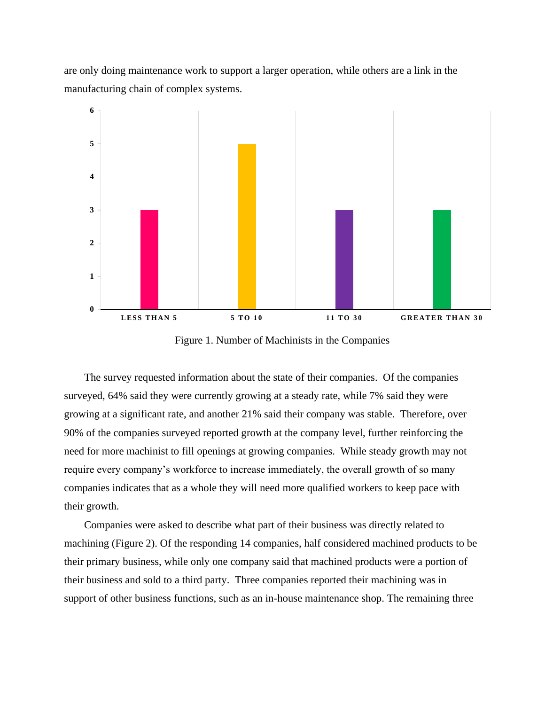are only doing maintenance work to support a larger operation, while others are a link in the manufacturing chain of complex systems.



Figure 1. Number of Machinists in the Companies

The survey requested information about the state of their companies. Of the companies surveyed, 64% said they were currently growing at a steady rate, while 7% said they were growing at a significant rate, and another 21% said their company was stable. Therefore, over 90% of the companies surveyed reported growth at the company level, further reinforcing the need for more machinist to fill openings at growing companies. While steady growth may not require every company's workforce to increase immediately, the overall growth of so many companies indicates that as a whole they will need more qualified workers to keep pace with their growth.

Companies were asked to describe what part of their business was directly related to machining (Figure 2). Of the responding 14 companies, half considered machined products to be their primary business, while only one company said that machined products were a portion of their business and sold to a third party. Three companies reported their machining was in support of other business functions, such as an in-house maintenance shop. The remaining three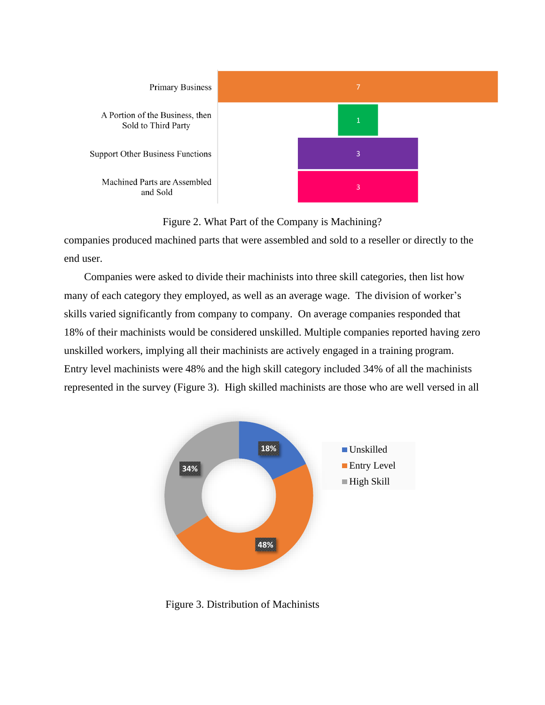

Figure 2. What Part of the Company is Machining?

companies produced machined parts that were assembled and sold to a reseller or directly to the end user.

Companies were asked to divide their machinists into three skill categories, then list how many of each category they employed, as well as an average wage. The division of worker's skills varied significantly from company to company. On average companies responded that 18% of their machinists would be considered unskilled. Multiple companies reported having zero unskilled workers, implying all their machinists are actively engaged in a training program. Entry level machinists were 48% and the high skill category included 34% of all the machinists represented in the survey (Figure 3). High skilled machinists are those who are well versed in all



Figure 3. Distribution of Machinists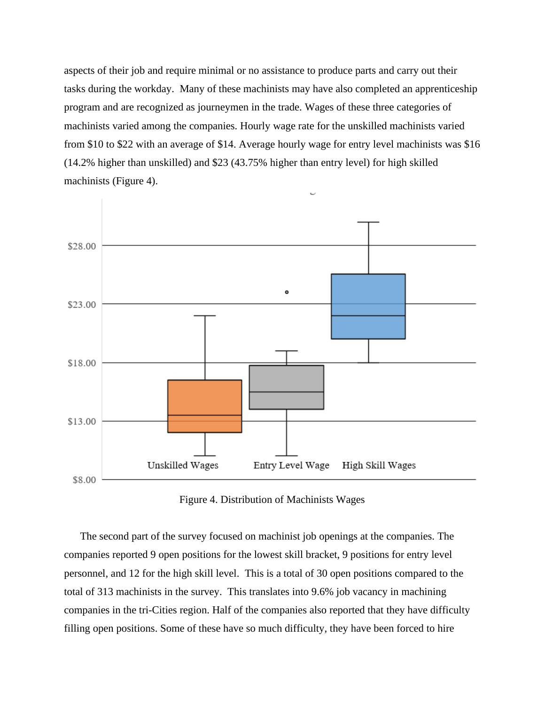aspects of their job and require minimal or no assistance to produce parts and carry out their tasks during the workday. Many of these machinists may have also completed an apprenticeship program and are recognized as journeymen in the trade. Wages of these three categories of machinists varied among the companies. Hourly wage rate for the unskilled machinists varied from \$10 to \$22 with an average of \$14. Average hourly wage for entry level machinists was \$16 (14.2% higher than unskilled) and \$23 (43.75% higher than entry level) for high skilled machinists (Figure 4).



Figure 4. Distribution of Machinists Wages

The second part of the survey focused on machinist job openings at the companies. The companies reported 9 open positions for the lowest skill bracket, 9 positions for entry level personnel, and 12 for the high skill level. This is a total of 30 open positions compared to the total of 313 machinists in the survey. This translates into 9.6% job vacancy in machining companies in the tri-Cities region. Half of the companies also reported that they have difficulty filling open positions. Some of these have so much difficulty, they have been forced to hire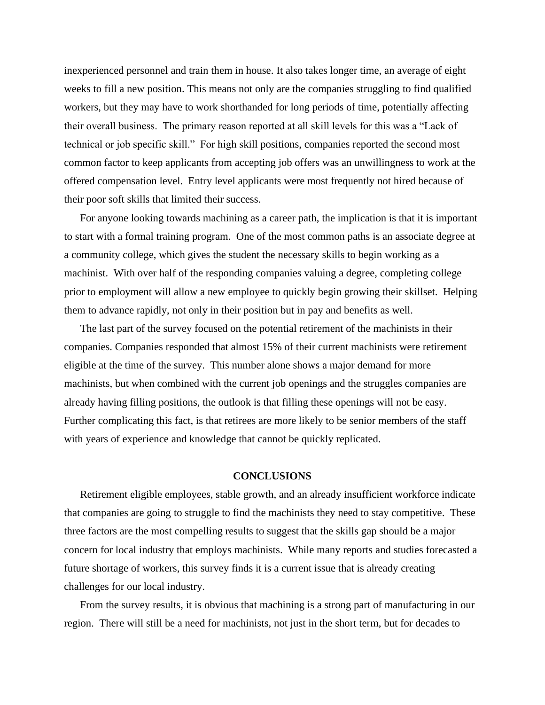inexperienced personnel and train them in house. It also takes longer time, an average of eight weeks to fill a new position. This means not only are the companies struggling to find qualified workers, but they may have to work shorthanded for long periods of time, potentially affecting their overall business. The primary reason reported at all skill levels for this was a "Lack of technical or job specific skill." For high skill positions, companies reported the second most common factor to keep applicants from accepting job offers was an unwillingness to work at the offered compensation level. Entry level applicants were most frequently not hired because of their poor soft skills that limited their success.

For anyone looking towards machining as a career path, the implication is that it is important to start with a formal training program. One of the most common paths is an associate degree at a community college, which gives the student the necessary skills to begin working as a machinist. With over half of the responding companies valuing a degree, completing college prior to employment will allow a new employee to quickly begin growing their skillset. Helping them to advance rapidly, not only in their position but in pay and benefits as well.

The last part of the survey focused on the potential retirement of the machinists in their companies. Companies responded that almost 15% of their current machinists were retirement eligible at the time of the survey. This number alone shows a major demand for more machinists, but when combined with the current job openings and the struggles companies are already having filling positions, the outlook is that filling these openings will not be easy. Further complicating this fact, is that retirees are more likely to be senior members of the staff with years of experience and knowledge that cannot be quickly replicated.

#### **CONCLUSIONS**

Retirement eligible employees, stable growth, and an already insufficient workforce indicate that companies are going to struggle to find the machinists they need to stay competitive. These three factors are the most compelling results to suggest that the skills gap should be a major concern for local industry that employs machinists. While many reports and studies forecasted a future shortage of workers, this survey finds it is a current issue that is already creating challenges for our local industry.

From the survey results, it is obvious that machining is a strong part of manufacturing in our region. There will still be a need for machinists, not just in the short term, but for decades to